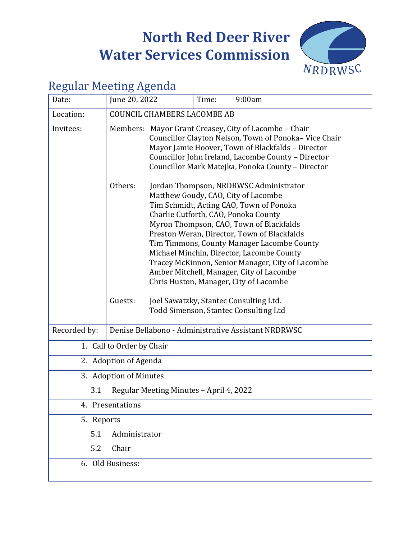# **North Red Deer River Water Services Commission**



# Regular Meeting Agenda

| Date:                                          | June 20, 2022                                       | Time:                                                                                                                                                                                                                                                                                                                                                                                                                                                                                                                                     | 9:00am                                |  |  |
|------------------------------------------------|-----------------------------------------------------|-------------------------------------------------------------------------------------------------------------------------------------------------------------------------------------------------------------------------------------------------------------------------------------------------------------------------------------------------------------------------------------------------------------------------------------------------------------------------------------------------------------------------------------------|---------------------------------------|--|--|
| Location:                                      | <b>COUNCIL CHAMBERS LACOMBE AB</b>                  |                                                                                                                                                                                                                                                                                                                                                                                                                                                                                                                                           |                                       |  |  |
| Invitees:                                      |                                                     | Members: Mayor Grant Creasey, City of Lacombe - Chair<br>Councillor Clayton Nelson, Town of Ponoka-Vice Chair<br>Mayor Jamie Hoover, Town of Blackfalds - Director<br>Councillor John Ireland, Lacombe County - Director<br>Councillor Mark Matejka, Ponoka County - Director                                                                                                                                                                                                                                                             |                                       |  |  |
|                                                | Others:<br>Guests:                                  | Jordan Thompson, NRDRWSC Administrator<br>Matthew Goudy, CAO, City of Lacombe<br>Tim Schmidt, Acting CAO, Town of Ponoka<br>Charlie Cutforth, CAO, Ponoka County<br>Myron Thompson, CAO, Town of Blackfalds<br>Preston Weran, Director, Town of Blackfalds<br>Tim Timmons, County Manager Lacombe County<br>Michael Minchin, Director, Lacombe County<br>Tracey McKinnon, Senior Manager, City of Lacombe<br>Amber Mitchell, Manager, City of Lacombe<br>Chris Huston, Manager, City of Lacombe<br>Joel Sawatzky, Stantec Consulting Ltd. |                                       |  |  |
| Recorded by:                                   | Denise Bellabono - Administrative Assistant NRDRWSC |                                                                                                                                                                                                                                                                                                                                                                                                                                                                                                                                           | Todd Simenson, Stantec Consulting Ltd |  |  |
| 1. Call to Order by Chair                      |                                                     |                                                                                                                                                                                                                                                                                                                                                                                                                                                                                                                                           |                                       |  |  |
| 2. Adoption of Agenda                          |                                                     |                                                                                                                                                                                                                                                                                                                                                                                                                                                                                                                                           |                                       |  |  |
| 3. Adoption of Minutes                         |                                                     |                                                                                                                                                                                                                                                                                                                                                                                                                                                                                                                                           |                                       |  |  |
| 3.1<br>Regular Meeting Minutes - April 4, 2022 |                                                     |                                                                                                                                                                                                                                                                                                                                                                                                                                                                                                                                           |                                       |  |  |
| 4. Presentations                               |                                                     |                                                                                                                                                                                                                                                                                                                                                                                                                                                                                                                                           |                                       |  |  |
| 5. Reports                                     |                                                     |                                                                                                                                                                                                                                                                                                                                                                                                                                                                                                                                           |                                       |  |  |
| 5.1                                            | Administrator                                       |                                                                                                                                                                                                                                                                                                                                                                                                                                                                                                                                           |                                       |  |  |
| 5.2                                            | Chair                                               |                                                                                                                                                                                                                                                                                                                                                                                                                                                                                                                                           |                                       |  |  |
| 6. Old Business:                               |                                                     |                                                                                                                                                                                                                                                                                                                                                                                                                                                                                                                                           |                                       |  |  |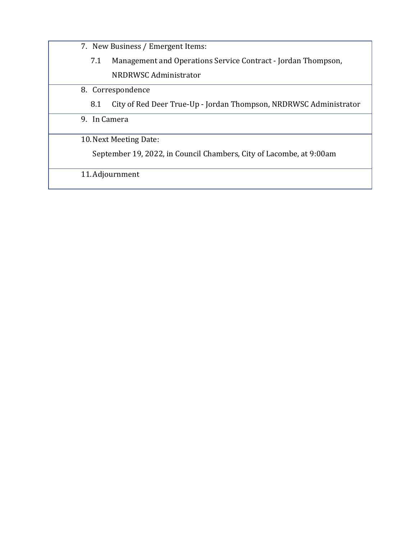7. New Business / Emergent Items:

- 7.1 [Management and Operations Service Contract](#page-8-0) Jordan Thompson, NRDRWSC Administrator
- 8. Correspondence
	- 8.1 City of Red Deer True-Up [Jordan Thompson, NRDRWSC Administrator](#page-10-0)

9. In Camera

10.Next Meeting Date:

September 19, 2022, in Council Chambers, City of Lacombe, at 9:00am

11.Adjournment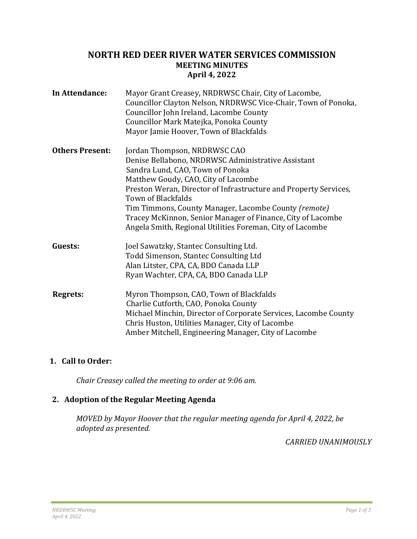### <span id="page-2-0"></span>**NORTH RED DEER RIVER WATER SERVICES COMMISSION MEETING MINUTES April 4, 2022**

| In Attendance:         | Mayor Grant Creasey, NRDRWSC Chair, City of Lacombe,<br>Councillor Clayton Nelson, NRDRWSC Vice-Chair, Town of Ponoka,<br>Councillor John Ireland, Lacombe County<br>Councillor Mark Matejka, Ponoka County<br>Mayor Jamie Hoover, Town of Blackfalds                                                                                                                                                                                       |
|------------------------|---------------------------------------------------------------------------------------------------------------------------------------------------------------------------------------------------------------------------------------------------------------------------------------------------------------------------------------------------------------------------------------------------------------------------------------------|
| <b>Others Present:</b> | Jordan Thompson, NRDRWSC CAO<br>Denise Bellabono, NRDRWSC Administrative Assistant<br>Sandra Lund, CAO, Town of Ponoka<br>Matthew Goudy, CAO, City of Lacombe<br>Preston Weran, Director of Infrastructure and Property Services,<br>Town of Blackfalds<br>Tim Timmons, County Manager, Lacombe County (remote)<br>Tracey McKinnon, Senior Manager of Finance, City of Lacombe<br>Angela Smith, Regional Utilities Foreman, City of Lacombe |
| Guests:                | Joel Sawatzky, Stantec Consulting Ltd.<br>Todd Simenson, Stantec Consulting Ltd<br>Alan Litster, CPA, CA, BDO Canada LLP<br>Ryan Wachter, CPA, CA, BDO Canada LLP                                                                                                                                                                                                                                                                           |
| <b>Regrets:</b>        | Myron Thompson, CAO, Town of Blackfalds<br>Charlie Cutforth, CAO, Ponoka County<br>Michael Minchin, Director of Corporate Services, Lacombe County<br>Chris Huston, Utilities Manager, City of Lacombe<br>Amber Mitchell, Engineering Manager, City of Lacombe                                                                                                                                                                              |

# **1. Call to Order:**

*Chair Creasey called the meeting to order at 9:06 am.*

# **2. Adoption of the Regular Meeting Agenda**

*MOVED by Mayor Hoover that the regular meeting agenda for April 4, 2022, be adopted as presented.*

*CARRIED UNANIMOUSLY*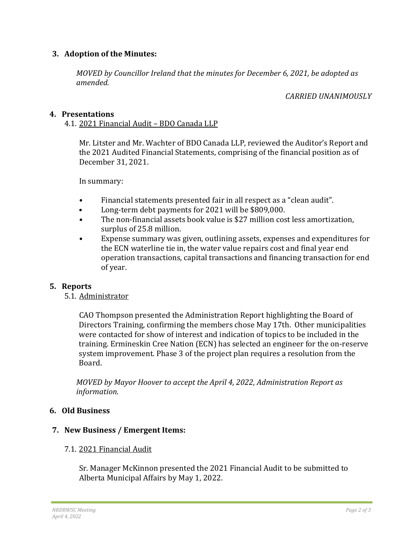### **3. Adoption of the Minutes:**

*MOVED by Councillor Ireland that the minutes for December 6, 2021, be adopted as amended.*

#### *CARRIED UNANIMOUSLY*

#### **4. Presentations**

4.1. 2021 Financial Audit – BDO Canada LLP

Mr. Litster and Mr. Wachter of BDO Canada LLP, reviewed the Auditor's Report and the 2021 Audited Financial Statements, comprising of the financial position as of December 31, 2021.

In summary:

- Financial statements presented fair in all respect as a "clean audit".
- Long-term debt payments for 2021 will be \$809,000.
- The non-financial assets book value is \$27 million cost less amortization, surplus of 25.8 million.
- Expense summary was given, outlining assets, expenses and expenditures for the ECN waterline tie in, the water value repairs cost and final year end operation transactions, capital transactions and financing transaction for end of year.

#### **5. Reports**

5.1. Administrator

CAO Thompson presented the Administration Report highlighting the Board of Directors Training, confirming the members chose May 17th. Other municipalities were contacted for show of interest and indication of topics to be included in the training. Ermineskin Cree Nation (ECN) has selected an engineer for the on-reserve system improvement. Phase 3 of the project plan requires a resolution from the Board.

*MOVED by Mayor Hoover to accept the April 4, 2022, Administration Report as information.*

#### **6. Old Business**

#### **7. New Business / Emergent Items:**

#### 7.1. 2021 Financial Audit

Sr. Manager McKinnon presented the 2021 Financial Audit to be submitted to Alberta Municipal Affairs by May 1, 2022.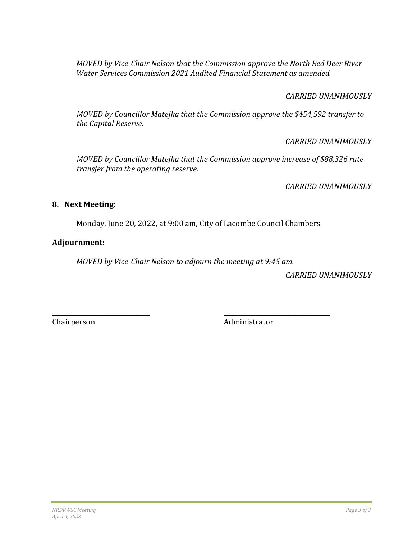*MOVED by Vice-Chair Nelson that the Commission approve the North Red Deer River Water Services Commission 2021 Audited Financial Statement as amended.*

### *CARRIED UNANIMOUSLY*

*MOVED by Councillor Matejka that the Commission approve the \$454,592 transfer to the Capital Reserve.* 

*CARRIED UNANIMOUSLY*

*MOVED by Councillor Matejka that the Commission approve increase of \$88,326 rate transfer from the operating reserve.*

*CARRIED UNANIMOUSLY*

#### **8. Next Meeting:**

Monday, June 20, 2022, at 9:00 am, City of Lacombe Council Chambers

# **Adjournment:**

*MOVED by Vice-Chair Nelson to adjourn the meeting at 9:45 am.*

*CARRIED UNANIMOUSLY*

 $\overline{\phantom{a}}$  , and the contract of the contract of the contract of the contract of the contract of the contract of the contract of the contract of the contract of the contract of the contract of the contract of the contrac Chairperson Administrator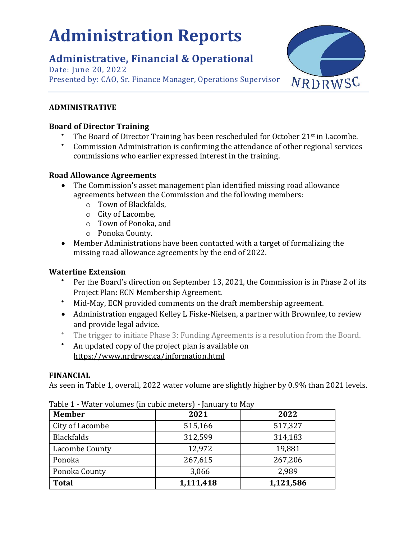# <span id="page-5-0"></span>**Administration Reports**

# **Administrative, Financial & Operational**

Date: June 20, 2022 Presented by: CAO, Sr. Finance Manager, Operations Supervisor



# **ADMINISTRATIVE**

### **Board of Director Training**

- The Board of Director Training has been rescheduled for October 21<sup>st</sup> in Lacombe.
- Commission Administration is confirming the attendance of other regional services commissions who earlier expressed interest in the training.

# **Road Allowance Agreements**

- The Commission's asset management plan identified missing road allowance agreements between the Commission and the following members:
	- o Town of Blackfalds,
	- o City of Lacombe,
	- o Town of Ponoka, and
	- o Ponoka County.
- Member Administrations have been contacted with a target of formalizing the missing road allowance agreements by the end of 2022.

# **Waterline Extension**

- Per the Board's direction on September 13, 2021, the Commission is in Phase 2 of its Project Plan: ECN Membership Agreement.
- Mid-May, ECN provided comments on the draft membership agreement.
- Administration engaged Kelley L Fiske-Nielsen, a partner with Brownlee, to review and provide legal advice.
- The trigger to initiate Phase 3: Funding Agreements is a resolution from the Board.
- An updated copy of the project plan is available on <https://www.nrdrwsc.ca/information.html>

# **FINANCIAL**

As seen in Table 1, overall, 2022 water volume are slightly higher by 0.9% than 2021 levels.

| <b>Member</b>     | 2021      | 2022      |
|-------------------|-----------|-----------|
| City of Lacombe   | 515,166   | 517,327   |
| <b>Blackfalds</b> | 312,599   | 314,183   |
| Lacombe County    | 12,972    | 19,881    |
| Ponoka            | 267,615   | 267,206   |
| Ponoka County     | 3,066     | 2,989     |
| <b>Total</b>      | 1,111,418 | 1,121,586 |

Table 1 - Water volumes (in cubic meters) - January to May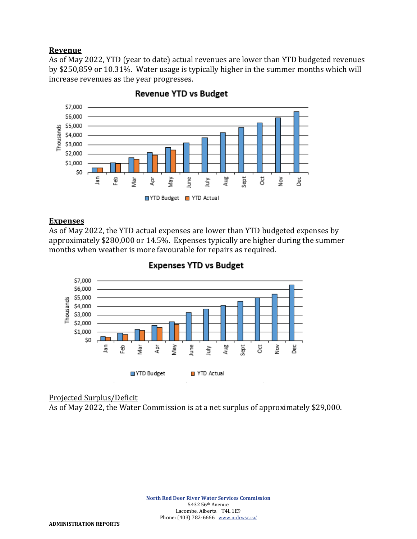#### **Revenue**

As of May 2022, YTD (year to date) actual revenues are lower than YTD budgeted revenues by \$250,859 or 10.31%. Water usage is typically higher in the summer months which will increase revenues as the year progresses.



**Revenue YTD vs Budget** 

#### **Expenses**

As of May 2022, the YTD actual expenses are lower than YTD budgeted expenses by approximately \$280,000 or 14.5%. Expenses typically are higher during the summer months when weather is more favourable for repairs as required.



#### **Expenses YTD vs Budget**

#### Projected Surplus/Deficit

As of May 2022, the Water Commission is at a net surplus of approximately \$29,000.

**North Red Deer River Water Services Commission** 5432 56th Avenue Lacombe, Alberta T4L 1E9 Phone: (403) 782-6666 [www.nrdrwsc.ca/](http://www.nrdrwsc.ca/)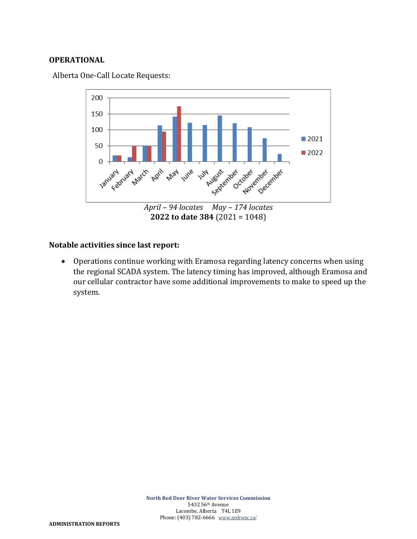#### **OPERATIONAL**

Alberta One-Call Locate Requests:



### **Notable activities since last report:**

• Operations continue working with Eramosa regarding latency concerns when using the regional SCADA system. The latency timing has improved, although Eramosa and our cellular contractor have some additional improvements to make to speed up the system.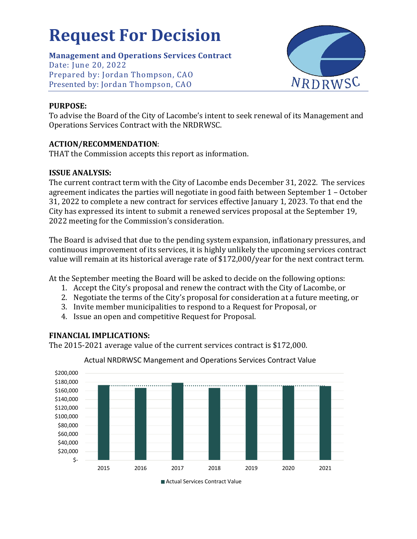# <span id="page-8-0"></span>**Request For Decision**

**Management and Operations Services Contract**

Date: June 20, 2022 Prepared by: Jordan Thompson, CAO Presented by: Jordan Thompson, CAO



# **PURPOSE:**

To advise the Board of the City of Lacombe's intent to seek renewal of its Management and Operations Services Contract with the NRDRWSC.

# **ACTION/RECOMMENDATION**:

THAT the Commission accepts this report as information.

# **ISSUE ANALYSIS:**

The current contract term with the City of Lacombe ends December 31, 2022. The services agreement indicates the parties will negotiate in good faith between September 1 – October 31, 2022 to complete a new contract for services effective January 1, 2023. To that end the City has expressed its intent to submit a renewed services proposal at the September 19, 2022 meeting for the Commission's consideration.

The Board is advised that due to the pending system expansion, inflationary pressures, and continuous improvement of its services, it is highly unlikely the upcoming services contract value will remain at its historical average rate of \$172,000/year for the next contract term.

At the September meeting the Board will be asked to decide on the following options:

- 1. Accept the City's proposal and renew the contract with the City of Lacombe, or
- 2. Negotiate the terms of the City's proposal for consideration at a future meeting, or
- 3. Invite member municipalities to respond to a Request for Proposal, or
- 4. Issue an open and competitive Request for Proposal.

# **FINANCIAL IMPLICATIONS:**

The 2015-2021 average value of the current services contract is \$172,000.



# Actual NRDRWSC Mangement and Operations Services Contract Value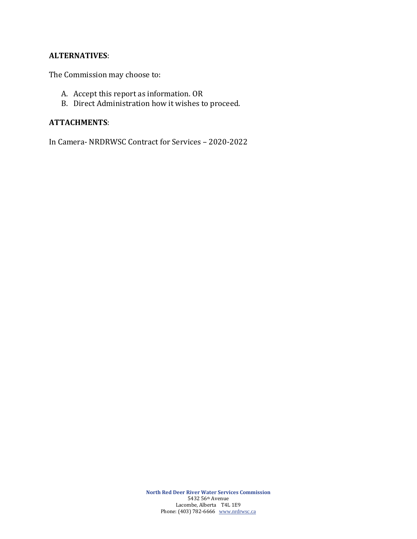#### **ALTERNATIVES**:

The Commission may choose to:

- A. Accept this report as information. OR
- B. Direct Administration how it wishes to proceed.

#### **ATTACHMENTS**:

In Camera- NRDRWSC Contract for Services – 2020-2022

**North Red Deer River Water Services Commission** 5432 56th Avenue Lacombe, Alberta T4L 1E9 Phone: (403) 782-6666 [www.nrdrwsc.ca](http://www.nrdrwsc.ca/)